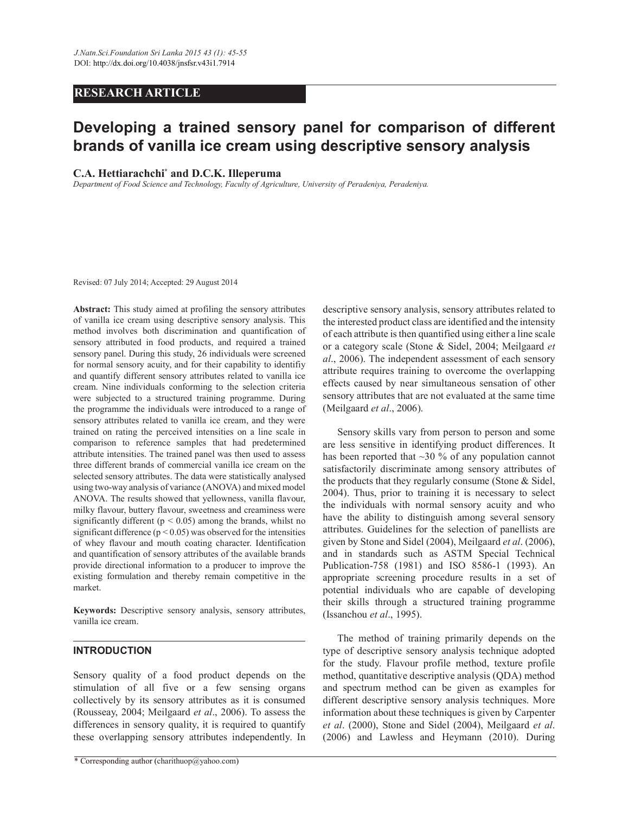# **RESEARCH ARTICLE**

# **Developing a trained sensory panel for comparison of different brands of vanilla ice cream using descriptive sensory analysis**

## **C.A. Hettiarachchi\* and D.C.K. Illeperuma**

*Department of Food Science and Technology, Faculty of Agriculture, University of Peradeniya, Peradeniya.*

Revised: 07 July 2014; Accepted: 29 August 2014

**Abstract:** This study aimed at profiling the sensory attributes of vanilla ice cream using descriptive sensory analysis. This method involves both discrimination and quantification of sensory attributed in food products, and required a trained sensory panel. During this study, 26 individuals were screened for normal sensory acuity, and for their capability to identifiy and quantify different sensory attributes related to vanilla ice cream. Nine individuals conforming to the selection criteria were subjected to a structured training programme. During the programme the individuals were introduced to a range of sensory attributes related to vanilla ice cream, and they were trained on rating the perceived intensities on a line scale in comparison to reference samples that had predetermined attribute intensities. The trained panel was then used to assess three different brands of commercial vanilla ice cream on the selected sensory attributes. The data were statistically analysed using two-way analysis of variance (ANOVA) and mixed model ANOVA. The results showed that yellowness, vanilla flavour, milky flavour, buttery flavour, sweetness and creaminess were significantly different ( $p \le 0.05$ ) among the brands, whilst no significant difference ( $p < 0.05$ ) was observed for the intensities of whey flavour and mouth coating character. Identification and quantification of sensory attributes of the available brands provide directional information to a producer to improve the existing formulation and thereby remain competitive in the market.

**Keywords:** Descriptive sensory analysis, sensory attributes, vanilla ice cream.

## **INTRODUCTION**

Sensory quality of a food product depends on the stimulation of all five or a few sensing organs collectively by its sensory attributes as it is consumed (Rousseay, 2004; Meilgaard *et al*., 2006). To assess the differences in sensory quality, it is required to quantify these overlapping sensory attributes independently. In descriptive sensory analysis, sensory attributes related to the interested product class are identified and the intensity of each attribute is then quantified using either a line scale or a category scale (Stone & Sidel, 2004; Meilgaard *et al*., 2006). The independent assessment of each sensory attribute requires training to overcome the overlapping effects caused by near simultaneous sensation of other sensory attributes that are not evaluated at the same time (Meilgaard *et al*., 2006).

 Sensory skills vary from person to person and some are less sensitive in identifying product differences. It has been reported that  $\sim$ 30 % of any population cannot satisfactorily discriminate among sensory attributes of the products that they regularly consume (Stone & Sidel, 2004). Thus, prior to training it is necessary to select the individuals with normal sensory acuity and who have the ability to distinguish among several sensory attributes. Guidelines for the selection of panellists are given by Stone and Sidel (2004), Meilgaard *et al*. (2006), and in standards such as ASTM Special Technical Publication-758 (1981) and ISO 8586-1 (1993). An appropriate screening procedure results in a set of potential individuals who are capable of developing their skills through a structured training programme (Issanchou *et al*., 1995).

 The method of training primarily depends on the type of descriptive sensory analysis technique adopted for the study. Flavour profile method, texture profile method, quantitative descriptive analysis (QDA) method and spectrum method can be given as examples for different descriptive sensory analysis techniques. More information about these techniques is given by Carpenter *et al*. (2000), Stone and Sidel (2004), Meilgaard *et al*. (2006) and Lawless and Heymann (2010). During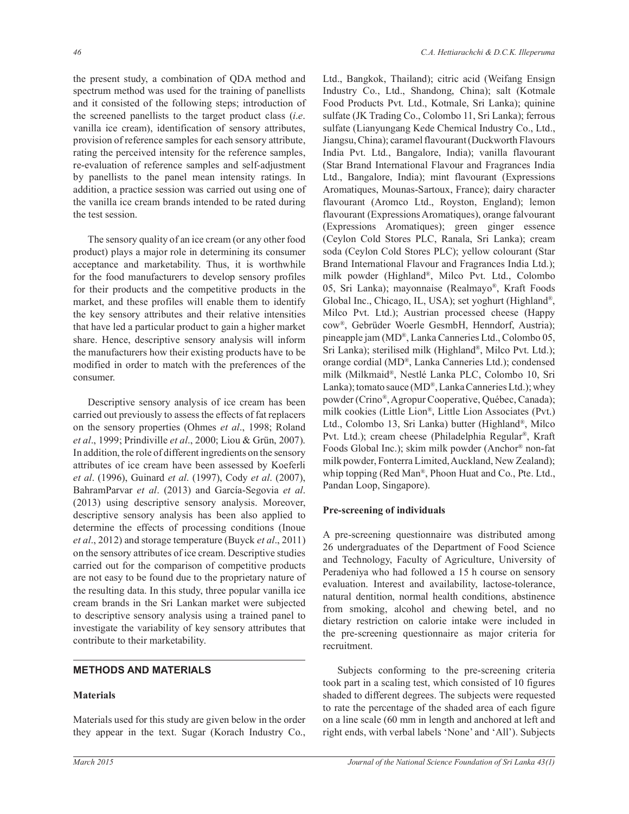the present study, a combination of QDA method and spectrum method was used for the training of panellists and it consisted of the following steps; introduction of the screened panellists to the target product class (*i*.*e*. vanilla ice cream), identification of sensory attributes, provision of reference samples for each sensory attribute, rating the perceived intensity for the reference samples, re-evaluation of reference samples and self-adjustment by panellists to the panel mean intensity ratings. In addition, a practice session was carried out using one of the vanilla ice cream brands intended to be rated during the test session.

 The sensory quality of an ice cream (or any other food product) plays a major role in determining its consumer acceptance and marketability. Thus, it is worthwhile for the food manufacturers to develop sensory profiles for their products and the competitive products in the market, and these profiles will enable them to identify the key sensory attributes and their relative intensities that have led a particular product to gain a higher market share. Hence, descriptive sensory analysis will inform the manufacturers how their existing products have to be modified in order to match with the preferences of the consumer.

 Descriptive sensory analysis of ice cream has been carried out previously to assess the effects of fat replacers on the sensory properties (Ohmes *et al*., 1998; Roland *et al*., 1999; Prindiville *et al*., 2000; Liou & Grün, 2007). In addition, the role of different ingredients on the sensory attributes of ice cream have been assessed by Koeferli *et al*. (1996), Guinard *et al*. (1997), Cody *et al*. (2007), BahramParvar *et al*. (2013) and García-Segovia *et al*. (2013) using descriptive sensory analysis. Moreover, descriptive sensory analysis has been also applied to determine the effects of processing conditions (Inoue *et al*., 2012) and storage temperature (Buyck *et al*., 2011) on the sensory attributes of ice cream. Descriptive studies carried out for the comparison of competitive products are not easy to be found due to the proprietary nature of the resulting data. In this study, three popular vanilla ice cream brands in the Sri Lankan market were subjected to descriptive sensory analysis using a trained panel to investigate the variability of key sensory attributes that contribute to their marketability.

#### **METHODS AND MATERIALS**

#### **Materials**

Materials used for this study are given below in the order they appear in the text. Sugar (Korach Industry Co., Ltd., Bangkok, Thailand); citric acid (Weifang Ensign Industry Co., Ltd., Shandong, China); salt (Kotmale Food Products Pvt. Ltd., Kotmale, Sri Lanka); quinine sulfate (JK Trading Co., Colombo 11, Sri Lanka); ferrous sulfate (Lianyungang Kede Chemical Industry Co., Ltd., Jiangsu, China); caramel flavourant (Duckworth Flavours India Pvt. Ltd., Bangalore, India); vanilla flavourant (Star Brand International Flavour and Fragrances India Ltd., Bangalore, India); mint flavourant (Expressions Aromatiques, Mounas-Sartoux, France); dairy character flavourant (Aromco Ltd., Royston, England); lemon flavourant (Expressions Aromatiques), orange falvourant (Expressions Aromatiques); green ginger essence (Ceylon Cold Stores PLC, Ranala, Sri Lanka); cream soda (Ceylon Cold Stores PLC); yellow colourant (Star Brand International Flavour and Fragrances India Ltd.); milk powder (Highland® , Milco Pvt. Ltd., Colombo 05, Sri Lanka); mayonnaise (Realmayo® , Kraft Foods Global Inc., Chicago, IL, USA); set yoghurt (Highland®, Milco Pvt. Ltd.); Austrian processed cheese (Happy cow®, Gebrüder Woerle GesmbH, Henndorf, Austria); pineapple jam (MD® , Lanka Canneries Ltd., Colombo 05, Sri Lanka); sterilised milk (Highland® , Milco Pvt. Ltd.); orange cordial (MD®, Lanka Canneries Ltd.); condensed milk (Milkmaid® , Nestlé Lanka PLC, Colombo 10, Sri Lanka); tomato sauce (MD®, Lanka Canneries Ltd.); whey powder (Crino® , Agropur Cooperative, Québec, Canada); milk cookies (Little Lion®, Little Lion Associates (Pvt.) Ltd., Colombo 13, Sri Lanka) butter (Highland® , Milco Pvt. Ltd.); cream cheese (Philadelphia Regular® , Kraft Foods Global Inc.); skim milk powder (Anchor® non-fat milk powder, Fonterra Limited, Auckland, New Zealand); whip topping (Red Man® , Phoon Huat and Co., Pte. Ltd., Pandan Loop, Singapore).

## **Pre-screening of individuals**

A pre-screening questionnaire was distributed among 26 undergraduates of the Department of Food Science and Technology, Faculty of Agriculture, University of Peradeniya who had followed a 15 h course on sensory evaluation. Interest and availability, lactose-tolerance, natural dentition, normal health conditions, abstinence from smoking, alcohol and chewing betel, and no dietary restriction on calorie intake were included in the pre-screening questionnaire as major criteria for recruitment.

 Subjects conforming to the pre-screening criteria took part in a scaling test, which consisted of 10 figures shaded to different degrees. The subjects were requested to rate the percentage of the shaded area of each figure on a line scale (60 mm in length and anchored at left and right ends, with verbal labels 'None' and 'All'). Subjects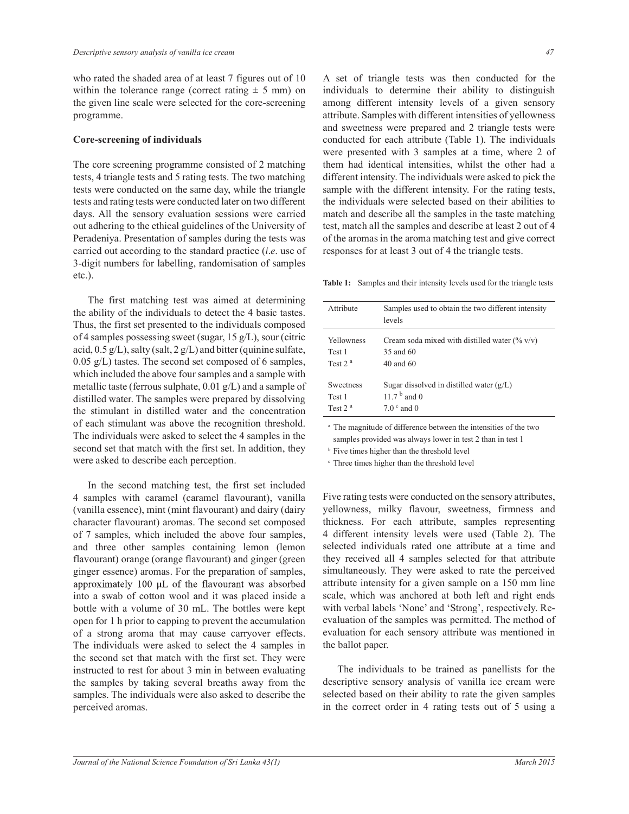who rated the shaded area of at least 7 figures out of 10 within the tolerance range (correct rating  $\pm$  5 mm) on the given line scale were selected for the core-screening programme.

#### **Core-screening of individuals**

The core screening programme consisted of 2 matching tests, 4 triangle tests and 5 rating tests. The two matching tests were conducted on the same day, while the triangle tests and rating tests were conducted later on two different days. All the sensory evaluation sessions were carried out adhering to the ethical guidelines of the University of Peradeniya. Presentation of samples during the tests was carried out according to the standard practice (*i*.*e*. use of 3-digit numbers for labelling, randomisation of samples etc.).

 The first matching test was aimed at determining the ability of the individuals to detect the 4 basic tastes. Thus, the first set presented to the individuals composed of 4 samples possessing sweet (sugar, 15 g/L), sour (citric acid,  $0.5 g/L$ ), salty (salt,  $2 g/L$ ) and bitter (quinine sulfate, 0.05 g/L) tastes. The second set composed of 6 samples, which included the above four samples and a sample with metallic taste (ferrous sulphate, 0.01 g/L) and a sample of distilled water. The samples were prepared by dissolving the stimulant in distilled water and the concentration of each stimulant was above the recognition threshold. The individuals were asked to select the 4 samples in the second set that match with the first set. In addition, they were asked to describe each perception.

 In the second matching test, the first set included 4 samples with caramel (caramel flavourant), vanilla (vanilla essence), mint (mint flavourant) and dairy (dairy character flavourant) aromas. The second set composed of 7 samples, which included the above four samples, and three other samples containing lemon (lemon flavourant) orange (orange flavourant) and ginger (green ginger essence) aromas. For the preparation of samples, approximately 100 µL of the flavourant was absorbed into a swab of cotton wool and it was placed inside a bottle with a volume of 30 mL. The bottles were kept open for 1 h prior to capping to prevent the accumulation of a strong aroma that may cause carryover effects. The individuals were asked to select the 4 samples in the second set that match with the first set. They were instructed to rest for about 3 min in between evaluating the samples by taking several breaths away from the samples. The individuals were also asked to describe the perceived aromas.

A set of triangle tests was then conducted for the individuals to determine their ability to distinguish among different intensity levels of a given sensory attribute. Samples with different intensities of yellowness and sweetness were prepared and 2 triangle tests were conducted for each attribute (Table 1). The individuals were presented with 3 samples at a time, where 2 of them had identical intensities, whilst the other had a different intensity. The individuals were asked to pick the sample with the different intensity. For the rating tests, the individuals were selected based on their abilities to match and describe all the samples in the taste matching test, match all the samples and describe at least 2 out of 4 of the aromas in the aroma matching test and give correct responses for at least 3 out of 4 the triangle tests.

**Table 1:** Samples and their intensity levels used for the triangle tests

| Attribute        | Samples used to obtain the two different intensity<br>levels |
|------------------|--------------------------------------------------------------|
| Yellowness       | Cream soda mixed with distilled water $(\% v/v)$             |
| Test 1           | 35 and 60                                                    |
| Test $2a$        | $40$ and $60$                                                |
| <b>Sweetness</b> | Sugar dissolved in distilled water $(g/L)$                   |
| Test 1           | 11.7 $b$ and 0                                               |
| Test $2a$        | $7.0c$ and 0                                                 |

<sup>a</sup> The magnitude of difference between the intensities of the two samples provided was always lower in test 2 than in test 1

<sup>b</sup> Five times higher than the threshold level

c Three times higher than the threshold level

Five rating tests were conducted on the sensory attributes, yellowness, milky flavour, sweetness, firmness and thickness. For each attribute, samples representing 4 different intensity levels were used (Table 2). The selected individuals rated one attribute at a time and they received all 4 samples selected for that attribute simultaneously. They were asked to rate the perceived attribute intensity for a given sample on a 150 mm line scale, which was anchored at both left and right ends with verbal labels 'None' and 'Strong', respectively. Reevaluation of the samples was permitted. The method of evaluation for each sensory attribute was mentioned in the ballot paper.

 The individuals to be trained as panellists for the descriptive sensory analysis of vanilla ice cream were selected based on their ability to rate the given samples in the correct order in 4 rating tests out of 5 using a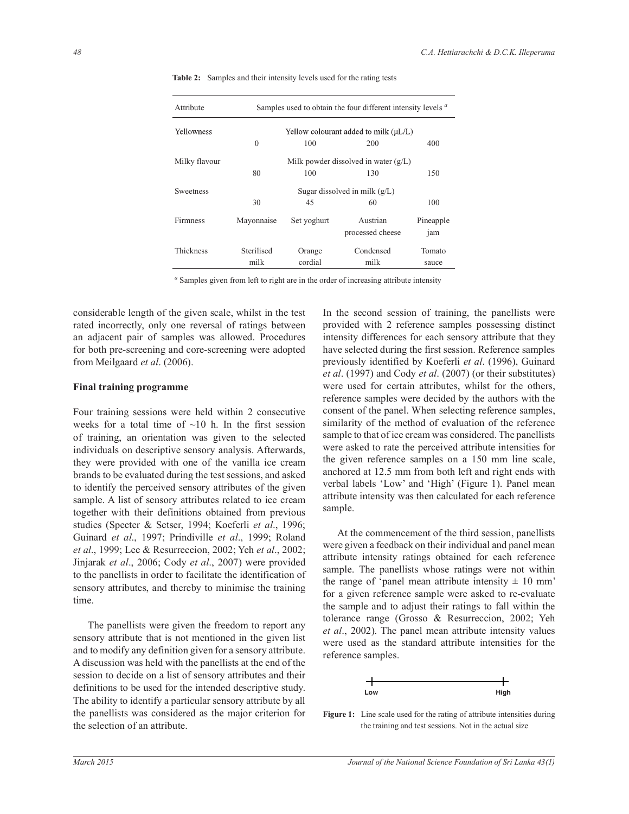| Attribute        | Samples used to obtain the four different intensity levels <sup>a</sup> |             |                  |           |  |  |  |
|------------------|-------------------------------------------------------------------------|-------------|------------------|-----------|--|--|--|
| Yellowness       | Yellow colourant added to milk $(\mu L/L)$                              |             |                  |           |  |  |  |
|                  | $\theta$                                                                | 100         | 200              | 400       |  |  |  |
| Milky flavour    | Milk powder dissolved in water $(g/L)$                                  |             |                  |           |  |  |  |
|                  | 80                                                                      | 100         | 130              | 150       |  |  |  |
| <b>Sweetness</b> | Sugar dissolved in milk $(g/L)$                                         |             |                  |           |  |  |  |
|                  | 30                                                                      | 45          | 60               | 100       |  |  |  |
| <b>Firmness</b>  | Mayonnaise                                                              | Set yoghurt | Austrian         | Pineapple |  |  |  |
|                  |                                                                         |             | processed cheese | jam       |  |  |  |
| Thickness        | Sterilised                                                              | Orange      | Condensed        | Tomato    |  |  |  |
|                  | milk                                                                    | cordial     | milk             | sauce     |  |  |  |

**Table 2:** Samples and their intensity levels used for the rating tests

*a* Samples given from left to right are in the order of increasing attribute intensity

considerable length of the given scale, whilst in the test rated incorrectly, only one reversal of ratings between an adjacent pair of samples was allowed. Procedures for both pre-screening and core-screening were adopted from Meilgaard *et al*. (2006).

#### **Final training programme**

Four training sessions were held within 2 consecutive weeks for a total time of  $\sim$ 10 h. In the first session of training, an orientation was given to the selected individuals on descriptive sensory analysis. Afterwards, they were provided with one of the vanilla ice cream brands to be evaluated during the test sessions, and asked to identify the perceived sensory attributes of the given sample. A list of sensory attributes related to ice cream together with their definitions obtained from previous studies (Specter & Setser, 1994; Koeferli *et al*., 1996; Guinard *et al*., 1997; Prindiville *et al*., 1999; Roland *et al*., 1999; Lee & Resurreccion, 2002; Yeh *et al*., 2002; Jinjarak *et al*., 2006; Cody *et al*., 2007) were provided to the panellists in order to facilitate the identification of sensory attributes, and thereby to minimise the training time.

 The panellists were given the freedom to report any sensory attribute that is not mentioned in the given list and to modify any definition given for a sensory attribute. A discussion was held with the panellists at the end of the session to decide on a list of sensory attributes and their definitions to be used for the intended descriptive study. The ability to identify a particular sensory attribute by all the panellists was considered as the major criterion for the selection of an attribute.

In the second session of training, the panellists were provided with 2 reference samples possessing distinct intensity differences for each sensory attribute that they have selected during the first session. Reference samples previously identified by Koeferli *et al*. (1996), Guinard *et al*. (1997) and Cody *et al*. (2007) (or their substitutes) were used for certain attributes, whilst for the others, reference samples were decided by the authors with the consent of the panel. When selecting reference samples, similarity of the method of evaluation of the reference sample to that of ice cream was considered. The panellists were asked to rate the perceived attribute intensities for the given reference samples on a 150 mm line scale, anchored at 12.5 mm from both left and right ends with verbal labels 'Low' and 'High' (Figure 1). Panel mean attribute intensity was then calculated for each reference sample.

 At the commencement of the third session, panellists were given a feedback on their individual and panel mean attribute intensity ratings obtained for each reference sample. The panellists whose ratings were not within the range of 'panel mean attribute intensity  $\pm$  10 mm' for a given reference sample were asked to re-evaluate the sample and to adjust their ratings to fall within the tolerance range (Grosso & Resurreccion, 2002; Yeh *et al*., 2002). The panel mean attribute intensity values were used as the standard attribute intensities for the reference samples.

| <b>WC</b><br><br>-- -- | 11.44<br>rııyıı |
|------------------------|-----------------|

Figure 1: Line scale used for the rating of attribute intensities during the training and test sessions. Not in the actual size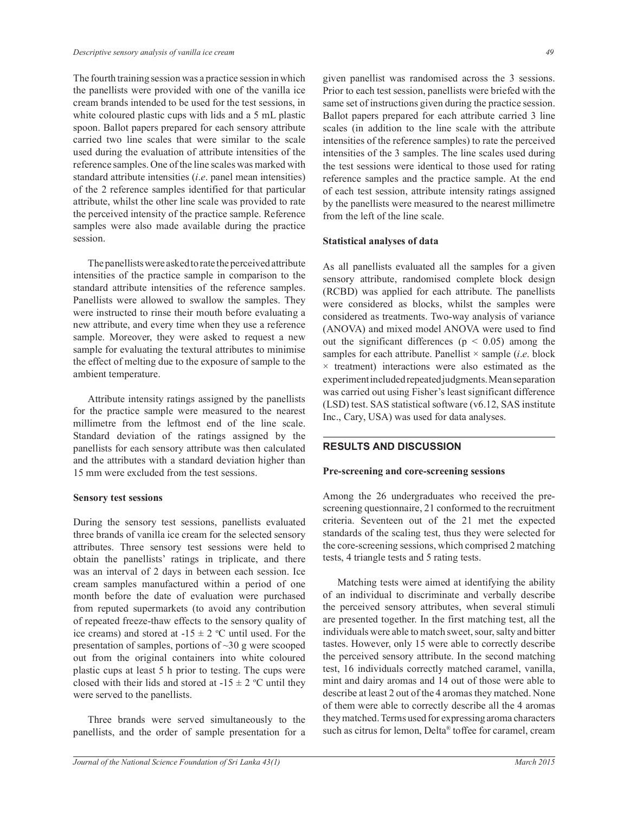The fourth training session was a practice session in which the panellists were provided with one of the vanilla ice cream brands intended to be used for the test sessions, in white coloured plastic cups with lids and a 5 mL plastic spoon. Ballot papers prepared for each sensory attribute carried two line scales that were similar to the scale used during the evaluation of attribute intensities of the reference samples. One of the line scales was marked with standard attribute intensities (*i*.*e*. panel mean intensities) of the 2 reference samples identified for that particular attribute, whilst the other line scale was provided to rate the perceived intensity of the practice sample. Reference samples were also made available during the practice session.

 The panellists were asked to rate the perceived attribute intensities of the practice sample in comparison to the standard attribute intensities of the reference samples. Panellists were allowed to swallow the samples. They were instructed to rinse their mouth before evaluating a new attribute, and every time when they use a reference sample. Moreover, they were asked to request a new sample for evaluating the textural attributes to minimise the effect of melting due to the exposure of sample to the ambient temperature.

 Attribute intensity ratings assigned by the panellists for the practice sample were measured to the nearest millimetre from the leftmost end of the line scale. Standard deviation of the ratings assigned by the panellists for each sensory attribute was then calculated and the attributes with a standard deviation higher than 15 mm were excluded from the test sessions.

#### **Sensory test sessions**

During the sensory test sessions, panellists evaluated three brands of vanilla ice cream for the selected sensory attributes. Three sensory test sessions were held to obtain the panellists' ratings in triplicate, and there was an interval of 2 days in between each session. Ice cream samples manufactured within a period of one month before the date of evaluation were purchased from reputed supermarkets (to avoid any contribution of repeated freeze-thaw effects to the sensory quality of ice creams) and stored at  $-15 \pm 2$  °C until used. For the presentation of samples, portions of  $\sim$ 30 g were scooped out from the original containers into white coloured plastic cups at least 5 h prior to testing. The cups were closed with their lids and stored at  $-15 \pm 2$  °C until they were served to the panellists.

 Three brands were served simultaneously to the panellists, and the order of sample presentation for a given panellist was randomised across the 3 sessions. Prior to each test session, panellists were briefed with the same set of instructions given during the practice session. Ballot papers prepared for each attribute carried 3 line scales (in addition to the line scale with the attribute intensities of the reference samples) to rate the perceived intensities of the 3 samples. The line scales used during the test sessions were identical to those used for rating reference samples and the practice sample. At the end of each test session, attribute intensity ratings assigned by the panellists were measured to the nearest millimetre from the left of the line scale.

#### **Statistical analyses of data**

As all panellists evaluated all the samples for a given sensory attribute, randomised complete block design (RCBD) was applied for each attribute. The panellists were considered as blocks, whilst the samples were considered as treatments. Two-way analysis of variance (ANOVA) and mixed model ANOVA were used to find out the significant differences ( $p \leq 0.05$ ) among the samples for each attribute. Panellist  $\times$  sample *(i.e.* block  $\times$  treatment) interactions were also estimated as the experiment included repeated judgments. Mean separation was carried out using Fisher's least significant difference (LSD) test. SAS statistical software (v6.12, SAS institute Inc., Cary, USA) was used for data analyses.

## **RESULTS AND DISCUSSION**

#### **Pre-screening and core-screening sessions**

Among the 26 undergraduates who received the prescreening questionnaire, 21 conformed to the recruitment criteria. Seventeen out of the 21 met the expected standards of the scaling test, thus they were selected for the core-screening sessions, which comprised 2 matching tests, 4 triangle tests and 5 rating tests.

 Matching tests were aimed at identifying the ability of an individual to discriminate and verbally describe the perceived sensory attributes, when several stimuli are presented together. In the first matching test, all the individuals were able to match sweet, sour, salty and bitter tastes. However, only 15 were able to correctly describe the perceived sensory attribute. In the second matching test, 16 individuals correctly matched caramel, vanilla, mint and dairy aromas and 14 out of those were able to describe at least 2 out of the 4 aromas they matched. None of them were able to correctly describe all the 4 aromas they matched. Terms used for expressing aroma characters such as citrus for lemon, Delta® toffee for caramel, cream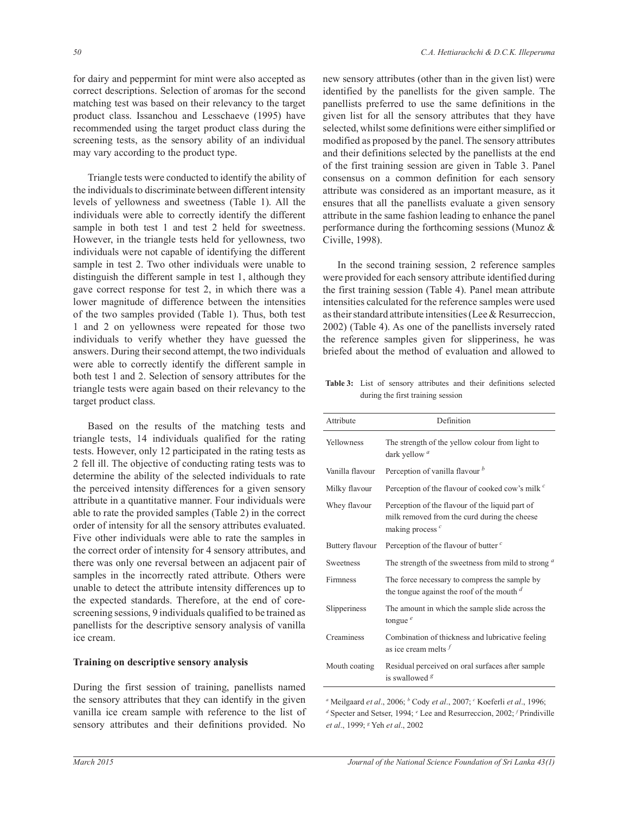for dairy and peppermint for mint were also accepted as correct descriptions. Selection of aromas for the second matching test was based on their relevancy to the target product class. Issanchou and Lesschaeve (1995) have recommended using the target product class during the screening tests, as the sensory ability of an individual may vary according to the product type.

 Triangle tests were conducted to identify the ability of the individuals to discriminate between different intensity levels of yellowness and sweetness (Table 1). All the individuals were able to correctly identify the different sample in both test 1 and test 2 held for sweetness. However, in the triangle tests held for yellowness, two individuals were not capable of identifying the different sample in test 2. Two other individuals were unable to distinguish the different sample in test 1, although they gave correct response for test 2, in which there was a lower magnitude of difference between the intensities of the two samples provided (Table 1). Thus, both test 1 and 2 on yellowness were repeated for those two individuals to verify whether they have guessed the answers. During their second attempt, the two individuals were able to correctly identify the different sample in both test 1 and 2. Selection of sensory attributes for the triangle tests were again based on their relevancy to the target product class.

 Based on the results of the matching tests and triangle tests, 14 individuals qualified for the rating tests. However, only 12 participated in the rating tests as 2 fell ill. The objective of conducting rating tests was to determine the ability of the selected individuals to rate the perceived intensity differences for a given sensory attribute in a quantitative manner. Four individuals were able to rate the provided samples (Table 2) in the correct order of intensity for all the sensory attributes evaluated. Five other individuals were able to rate the samples in the correct order of intensity for 4 sensory attributes, and there was only one reversal between an adjacent pair of samples in the incorrectly rated attribute. Others were unable to detect the attribute intensity differences up to the expected standards. Therefore, at the end of corescreening sessions, 9 individuals qualified to be trained as panellists for the descriptive sensory analysis of vanilla ice cream.

#### **Training on descriptive sensory analysis**

During the first session of training, panellists named the sensory attributes that they can identify in the given vanilla ice cream sample with reference to the list of sensory attributes and their definitions provided. No

new sensory attributes (other than in the given list) were identified by the panellists for the given sample. The panellists preferred to use the same definitions in the given list for all the sensory attributes that they have selected, whilst some definitions were either simplified or modified as proposed by the panel. The sensory attributes and their definitions selected by the panellists at the end of the first training session are given in Table 3. Panel consensus on a common definition for each sensory attribute was considered as an important measure, as it ensures that all the panellists evaluate a given sensory attribute in the same fashion leading to enhance the panel performance during the forthcoming sessions (Munoz & Civille, 1998).

 In the second training session, 2 reference samples were provided for each sensory attribute identified during the first training session (Table 4). Panel mean attribute intensities calculated for the reference samples were used as their standard attribute intensities (Lee & Resurreccion, 2002) (Table 4). As one of the panellists inversely rated the reference samples given for slipperiness, he was briefed about the method of evaluation and allowed to

**Table 3:** List of sensory attributes and their definitions selected during the first training session

| Attribute       | Definition                                                                                                            |
|-----------------|-----------------------------------------------------------------------------------------------------------------------|
| Yellowness      | The strength of the yellow colour from light to<br>dark yellow <sup>a</sup>                                           |
| Vanilla flavour | Perception of vanilla flavour b                                                                                       |
| Milky flavour   | Perception of the flavour of cooked cow's milk <sup>c</sup>                                                           |
| Whey flavour    | Perception of the flavour of the liquid part of<br>milk removed from the curd during the cheese<br>making process $c$ |
| Buttery flavour | Perception of the flavour of butter $c$                                                                               |
| Sweetness       | The strength of the sweetness from mild to strong $a$                                                                 |
| <b>Firmness</b> | The force necessary to compress the sample by<br>the tongue against the roof of the mouth $d$                         |
| Slipperiness    | The amount in which the sample slide across the<br>tongue $e$                                                         |
| Creaminess      | Combination of thickness and lubricative feeling<br>as ice cream melts $f$                                            |
| Mouth coating   | Residual perceived on oral surfaces after sample<br>is swallowed $\frac{g}{g}$                                        |

*<sup>a</sup>* Meilgaard *et al*., 2006; *<sup>b</sup>* Cody *et al*., 2007; *<sup>c</sup>* Koeferli *et al*., 1996; *d* Specter and Setser, 1994; *<sup>e</sup>* Lee and Resurreccion, 2002; *<sup>f</sup>* Prindiville *et al*., 1999; *<sup>g</sup>* Yeh *et al*., 2002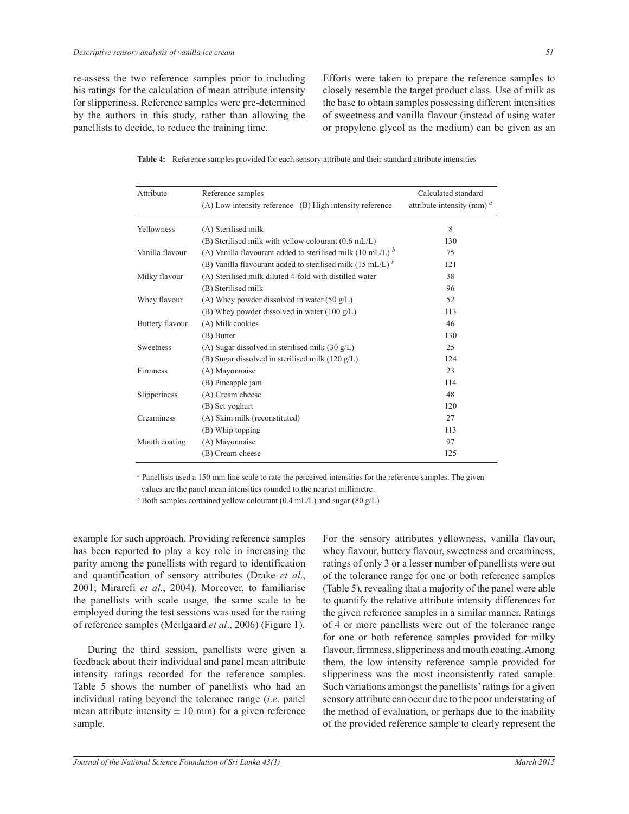re-assess the two reference samples prior to including his ratings for the calculation of mean attribute intensity for slipperiness. Reference samples were pre-determined by the authors in this study, rather than allowing the panellists to decide, to reduce the training time.

Efforts were taken to prepare the reference samples to closely resemble the target product class. Use of milk as the base to obtain samples possessing different intensities of sweetness and vanilla flavour (instead of using water or propylene glycol as the medium) can be given as an

**Table 4:** Reference samples provided for each sensory attribute and their standard attribute intensities

| Attribute       | Reference samples                                                | Calculated standard           |
|-----------------|------------------------------------------------------------------|-------------------------------|
|                 | (A) Low intensity reference (B) High intensity reference         | attribute intensity (mm) $^a$ |
| Yellowness      | (A) Sterilised milk                                              | 8                             |
|                 | $(B)$ Sterilised milk with yellow colourant $(0.6 \text{ mL/L})$ | 130                           |
|                 |                                                                  |                               |
| Vanilla flavour | (A) Vanilla flavourant added to sterilised milk (10 mL/L) $^b$   | 75                            |
|                 | (B) Vanilla flavourant added to sterilised milk (15 mL/L) $b$    | 121                           |
| Milky flavour   | (A) Sterilised milk diluted 4-fold with distilled water          | 38                            |
|                 | (B) Sterilised milk                                              | 96                            |
| Whey flavour    | (A) Whey powder dissolved in water $(50 \text{ g/L})$            | 52                            |
|                 | (B) Whey powder dissolved in water $(100 \text{ g/L})$           | 113                           |
| Buttery flavour | (A) Milk cookies                                                 | 46                            |
|                 | (B) Butter                                                       | 130                           |
| Sweetness       | (A) Sugar dissolved in sterilised milk $(30 g/L)$                | 25                            |
|                 | (B) Sugar dissolved in sterilised milk $(120 g/L)$               | 124                           |
| Firmness        | (A) Mayonnaise                                                   | 23                            |
|                 | (B) Pineapple jam                                                | 114                           |
| Slipperiness    | (A) Cream cheese                                                 | 48                            |
|                 | (B) Set yoghurt                                                  | 120                           |
| Creaminess      | (A) Skim milk (reconstituted)                                    | 27                            |
|                 | (B) Whip topping                                                 | 113                           |
| Mouth coating   | (A) Mayonnaise                                                   | 97                            |
|                 | (B) Cream cheese                                                 | 125                           |
|                 |                                                                  |                               |

*<sup>a</sup>* Panellists used a 150 mm line scale to rate the perceived intensities for the reference samples. The given

values are the panel mean intensities rounded to the nearest millimetre.

*b* Both samples contained yellow colourant (0.4 mL/L) and sugar (80 g/L)

example for such approach. Providing reference samples has been reported to play a key role in increasing the parity among the panellists with regard to identification and quantification of sensory attributes (Drake *et al*., 2001; Mirarefi *et al*., 2004). Moreover, to familiarise the panellists with scale usage, the same scale to be employed during the test sessions was used for the rating of reference samples (Meilgaard *et al*., 2006) (Figure 1).

 During the third session, panellists were given a feedback about their individual and panel mean attribute intensity ratings recorded for the reference samples. Table 5 shows the number of panellists who had an individual rating beyond the tolerance range (*i*.*e*. panel mean attribute intensity  $\pm 10$  mm) for a given reference sample.

For the sensory attributes yellowness, vanilla flavour, whey flavour, buttery flavour, sweetness and creaminess, ratings of only 3 or a lesser number of panellists were out of the tolerance range for one or both reference samples (Table 5), revealing that a majority of the panel were able to quantify the relative attribute intensity differences for the given reference samples in a similar manner. Ratings of 4 or more panellists were out of the tolerance range for one or both reference samples provided for milky flavour, firmness, slipperiness and mouth coating. Among them, the low intensity reference sample provided for slipperiness was the most inconsistently rated sample. Such variations amongst the panellists' ratings for a given sensory attribute can occur due to the poor understating of the method of evaluation, or perhaps due to the inability of the provided reference sample to clearly represent the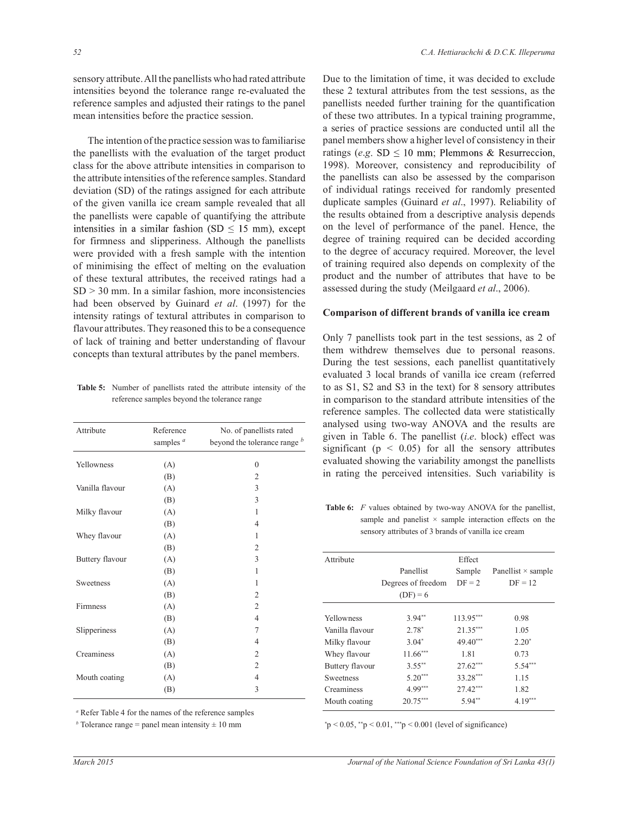sensory attribute. All the panellists who had rated attribute intensities beyond the tolerance range re-evaluated the reference samples and adjusted their ratings to the panel mean intensities before the practice session.

 The intention of the practice session was to familiarise the panellists with the evaluation of the target product class for the above attribute intensities in comparison to the attribute intensities of the reference samples. Standard deviation (SD) of the ratings assigned for each attribute of the given vanilla ice cream sample revealed that all the panellists were capable of quantifying the attribute intensities in a similar fashion (SD  $\leq$  15 mm), except for firmness and slipperiness. Although the panellists were provided with a fresh sample with the intention of minimising the effect of melting on the evaluation of these textural attributes, the received ratings had a  $SD$   $>$  30 mm. In a similar fashion, more inconsistencies had been observed by Guinard *et al*. (1997) for the intensity ratings of textural attributes in comparison to flavour attributes. They reasoned this to be a consequence of lack of training and better understanding of flavour concepts than textural attributes by the panel members.

**Table 5:** Number of panellists rated the attribute intensity of the reference samples beyond the tolerance range

| Attribute       | Reference<br>samples $a$ | No. of panellists rated<br>beyond the tolerance range b |
|-----------------|--------------------------|---------------------------------------------------------|
| Yellowness      | (A)                      | $\mathbf{0}$                                            |
|                 | (B)                      | $\overline{2}$                                          |
| Vanilla flavour | (A)                      | 3                                                       |
|                 | (B)                      | 3                                                       |
| Milky flavour   | (A)                      | 1                                                       |
|                 | (B)                      | $\overline{4}$                                          |
| Whey flavour    | (A)                      | 1                                                       |
|                 | (B)                      | 2                                                       |
| Buttery flavour | (A)                      | 3                                                       |
|                 | (B)                      | 1                                                       |
| Sweetness       | (A)                      | 1                                                       |
|                 | (B)                      | $\overline{2}$                                          |
| Firmness        | (A)                      | $\overline{2}$                                          |
|                 | (B)                      | $\overline{4}$                                          |
| Slipperiness    | (A)                      | 7                                                       |
|                 | (B)                      | $\overline{4}$                                          |
| Creaminess      | (A)                      | $\mathfrak{2}$                                          |
|                 | (B)                      | $\overline{2}$                                          |
| Mouth coating   | (A)                      | $\overline{4}$                                          |
|                 | (B)                      | 3                                                       |

Due to the limitation of time, it was decided to exclude these 2 textural attributes from the test sessions, as the panellists needed further training for the quantification of these two attributes. In a typical training programme, a series of practice sessions are conducted until all the panel members show a higher level of consistency in their ratings (*e.g.* SD  $\leq$  10 mm; Plemmons & Resurreccion, 1998). Moreover, consistency and reproducibility of the panellists can also be assessed by the comparison of individual ratings received for randomly presented duplicate samples (Guinard *et al*., 1997). Reliability of the results obtained from a descriptive analysis depends on the level of performance of the panel. Hence, the degree of training required can be decided according to the degree of accuracy required. Moreover, the level of training required also depends on complexity of the product and the number of attributes that have to be assessed during the study (Meilgaard *et al*., 2006).

#### **Comparison of different brands of vanilla ice cream**

Only 7 panellists took part in the test sessions, as 2 of them withdrew themselves due to personal reasons. During the test sessions, each panellist quantitatively evaluated 3 local brands of vanilla ice cream (referred to as S1, S2 and S3 in the text) for 8 sensory attributes in comparison to the standard attribute intensities of the reference samples. The collected data were statistically analysed using two-way ANOVA and the results are given in Table 6. The panellist (*i*.*e*. block) effect was significant ( $p \leq 0.05$ ) for all the sensory attributes evaluated showing the variability amongst the panellists in rating the perceived intensities. Such variability is

**Table 6:** *F* values obtained by two-way ANOVA for the panellist, sample and panelist  $\times$  sample interaction effects on the sensory attributes of 3 brands of vanilla ice cream

| Attribute        |                    | Effect      |                           |
|------------------|--------------------|-------------|---------------------------|
|                  | Panellist          | Sample      | Panellist $\times$ sample |
|                  | Degrees of freedom | $DF = 2$    | $DF = 12$                 |
|                  | $(DF) = 6$         |             |                           |
| Yellowness       | $3.94**$           | $113.95***$ | 0.98                      |
| Vanilla flavour  | $2.78*$            | $21.35***$  | 1.05                      |
| Milky flavour    | $3.04*$            | $49.40***$  | $2.20*$                   |
| Whey flavour     | $11.66***$         | 1.81        | 0.73                      |
| Buttery flavour  | $3.55***$          | $27.62***$  | $5.54***$                 |
| <b>Sweetness</b> | $5.20***$          | 33.28***    | 1.15                      |
| Creaminess       | $4.99***$          | $27.42***$  | 1.82                      |
| Mouth coating    | $20.75***$         | $5.94**$    | $4.19***$                 |

*a* Refer Table 4 for the names of the reference samples

*b* Tolerance range = panel mean intensity  $\pm 10$  mm

 $*p < 0.05$ ,  $*p < 0.01$ ,  $**p < 0.001$  (level of significance)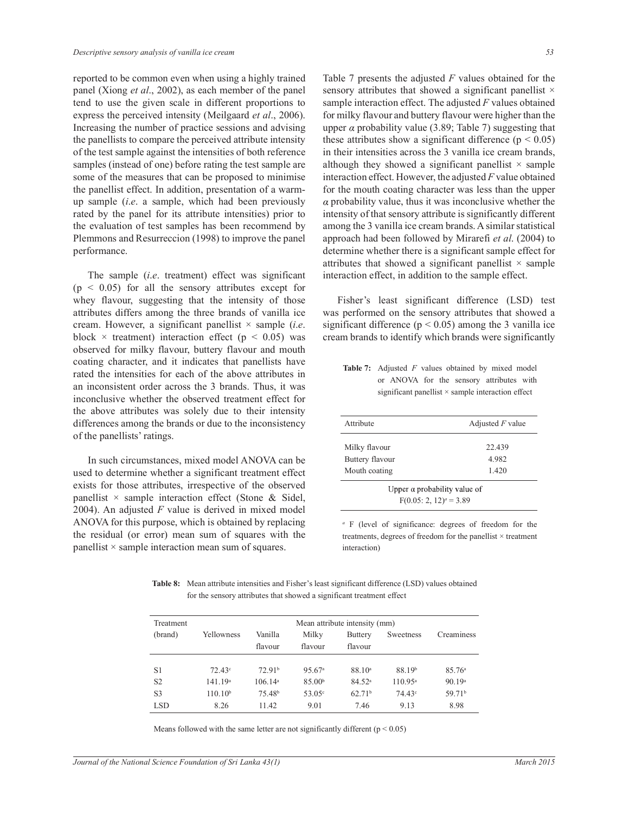reported to be common even when using a highly trained panel (Xiong *et al*., 2002), as each member of the panel tend to use the given scale in different proportions to express the perceived intensity (Meilgaard *et al*., 2006). Increasing the number of practice sessions and advising the panellists to compare the perceived attribute intensity of the test sample against the intensities of both reference samples (instead of one) before rating the test sample are some of the measures that can be proposed to minimise the panellist effect. In addition, presentation of a warmup sample (*i*.*e*. a sample, which had been previously rated by the panel for its attribute intensities) prior to the evaluation of test samples has been recommend by Plemmons and Resurreccion (1998) to improve the panel performance.

 The sample (*i*.*e*. treatment) effect was significant  $(p < 0.05)$  for all the sensory attributes except for whey flavour, suggesting that the intensity of those attributes differs among the three brands of vanilla ice cream. However, a significant panellist × sample (*i*.*e*. block  $\times$  treatment) interaction effect ( $p < 0.05$ ) was observed for milky flavour, buttery flavour and mouth coating character, and it indicates that panellists have rated the intensities for each of the above attributes in an inconsistent order across the 3 brands. Thus, it was inconclusive whether the observed treatment effect for the above attributes was solely due to their intensity differences among the brands or due to the inconsistency of the panellists' ratings.

 In such circumstances, mixed model ANOVA can be used to determine whether a significant treatment effect exists for those attributes, irrespective of the observed panellist  $\times$  sample interaction effect (Stone & Sidel, 2004). An adjusted *F* value is derived in mixed model ANOVA for this purpose, which is obtained by replacing the residual (or error) mean sum of squares with the panellist  $\times$  sample interaction mean sum of squares.

Table 7 presents the adjusted *F* values obtained for the sensory attributes that showed a significant panellist  $\times$ sample interaction effect. The adjusted *F* values obtained for milky flavour and buttery flavour were higher than the upper  $\alpha$  probability value (3.89; Table 7) suggesting that these attributes show a significant difference ( $p < 0.05$ ) in their intensities across the 3 vanilla ice cream brands, although they showed a significant panellist  $\times$  sample interaction effect. However, the adjusted *F* value obtained for the mouth coating character was less than the upper  $\alpha$  probability value, thus it was inconclusive whether the intensity of that sensory attribute is significantly different among the 3 vanilla ice cream brands. A similar statistical approach had been followed by Mirarefi *et al*. (2004) to determine whether there is a significant sample effect for attributes that showed a significant panellist  $\times$  sample interaction effect, in addition to the sample effect.

 Fisher's least significant difference (LSD) test was performed on the sensory attributes that showed a significant difference ( $p < 0.05$ ) among the 3 vanilla ice cream brands to identify which brands were significantly

**Table 7:** Adjusted *F* values obtained by mixed model or ANOVA for the sensory attributes with significant panellist × sample interaction effect

| Attribute                                                          | Adjusted $F$ value |  |  |  |
|--------------------------------------------------------------------|--------------------|--|--|--|
| Milky flavour                                                      | 22.439             |  |  |  |
| Buttery flavour                                                    | 4.982              |  |  |  |
| Mouth coating                                                      | 1.420              |  |  |  |
| Upper $\alpha$ probability value of<br>$F(0.05; 2, 12)^{a} = 3.89$ |                    |  |  |  |

*a* F (level of significance: degrees of freedom for the treatments, degrees of freedom for the panellist × treatment interaction)

**Table 8:** Mean attribute intensities and Fisher's least significant difference (LSD) values obtained for the sensory attributes that showed a significant treatment effect

| Treatment      | Mean attribute intensity (mm) |                     |                    |                    |                    |                    |
|----------------|-------------------------------|---------------------|--------------------|--------------------|--------------------|--------------------|
| (brand)        | Yellowness                    | Vanilla             | Milky              | <b>Buttery</b>     | Sweetness          | Creaminess         |
|                |                               | flavour             | flavour            | flavour            |                    |                    |
|                |                               |                     |                    |                    |                    |                    |
| S1             | $72.43^{\circ}$               | 72.91 <sup>b</sup>  | 95.67 <sup>a</sup> | 88.10 <sup>a</sup> | 88.19 <sup>b</sup> | 85.76 <sup>a</sup> |
| S <sub>2</sub> | 141.19 <sup>a</sup>           | 106.14 <sup>a</sup> | 85.00 <sup>b</sup> | 84.52 <sup>a</sup> | $110.95^{\circ}$   | 90.19 <sup>a</sup> |
| S <sub>3</sub> | $110.10^{b}$                  | 75.48 <sup>b</sup>  | 53.05 <sup>c</sup> | 62.71 <sup>b</sup> | 74.43 <sup>c</sup> | 59.71 <sup>b</sup> |
| <b>LSD</b>     | 8.26                          | 11.42               | 9.01               | 7.46               | 9.13               | 8.98               |
|                |                               |                     |                    |                    |                    |                    |

Means followed with the same letter are not significantly different ( $p < 0.05$ )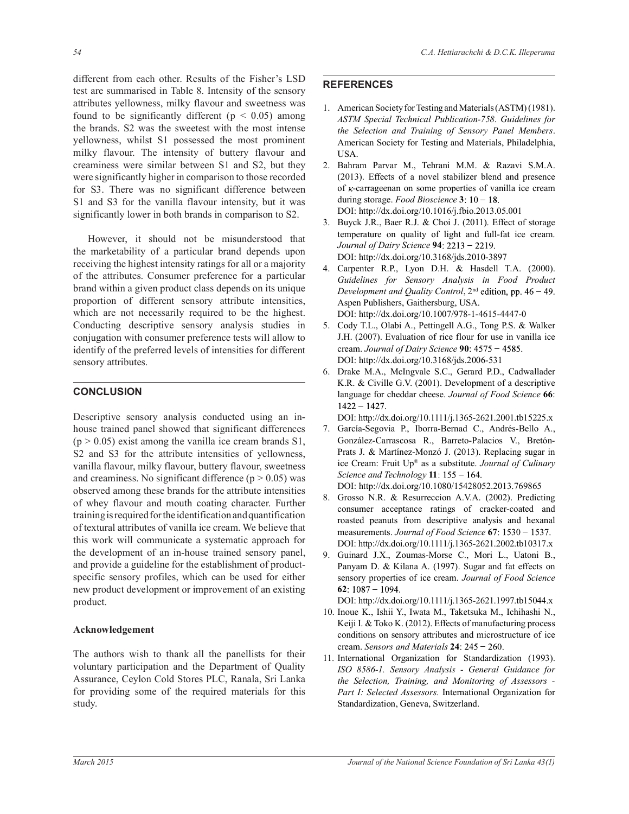different from each other. Results of the Fisher's LSD test are summarised in Table 8. Intensity of the sensory attributes yellowness, milky flavour and sweetness was found to be significantly different ( $p < 0.05$ ) among the brands. S2 was the sweetest with the most intense yellowness, whilst S1 possessed the most prominent milky flavour. The intensity of buttery flavour and creaminess were similar between S1 and S2, but they were significantly higher in comparison to those recorded for S3. There was no significant difference between S1 and S3 for the vanilla flavour intensity, but it was significantly lower in both brands in comparison to S2.

 However, it should not be misunderstood that the marketability of a particular brand depends upon receiving the highest intensity ratings for all or a majority of the attributes. Consumer preference for a particular brand within a given product class depends on its unique proportion of different sensory attribute intensities, which are not necessarily required to be the highest. Conducting descriptive sensory analysis studies in conjugation with consumer preference tests will allow to identify of the preferred levels of intensities for different sensory attributes.

# **CONCLUSION**

Descriptive sensory analysis conducted using an inhouse trained panel showed that significant differences  $(p > 0.05)$  exist among the vanilla ice cream brands S1, S2 and S3 for the attribute intensities of yellowness, vanilla flavour, milky flavour, buttery flavour, sweetness and creaminess. No significant difference  $(p > 0.05)$  was observed among these brands for the attribute intensities of whey flavour and mouth coating character. Further training is required for the identification and quantification of textural attributes of vanilla ice cream. We believe that this work will communicate a systematic approach for the development of an in-house trained sensory panel, and provide a guideline for the establishment of productspecific sensory profiles, which can be used for either new product development or improvement of an existing product.

## **Acknowledgement**

The authors wish to thank all the panellists for their voluntary participation and the Department of Quality Assurance, Ceylon Cold Stores PLC, Ranala, Sri Lanka for providing some of the required materials for this study.

# **REFERENCES**

- 1. American Society for Testing and Materials (ASTM) (1981). *ASTM Special Technical Publication-758*. *Guidelines for the Selection and Training of Sensory Panel Members*. American Society for Testing and Materials, Philadelphia, USA.
- 2. Bahram Parvar M., Tehrani M.M. & Razavi S.M.A. (2013). Effects of a novel stabilizer blend and presence of  $\kappa$ -carrageenan on some properties of vanilla ice cream during storage. *Food Bioscience* **3** DOI: http://dx.doi.org/10.1016/j.fbio.2013.05.001
- 3. Buyck J.R., Baer R.J. & Choi J. (2011). Effect of storage temperature on quality of light and full-fat ice cream. *Journal of Dairy Science* **94** DOI: http://dx.doi.org/10.3168/jds.2010-3897
- 4. Carpenter R.P., Lyon D.H. & Hasdell T.A. (2000). *Guidelines for Sensory Analysis in Food Product Development and Quality Control*, 2<sup>nd</sup> edition, pp. 46 - 49. Aspen Publishers, Gaithersburg, USA. DOI: http://dx.doi.org/10.1007/978-1-4615-4447-0
- 5. Cody T.L., Olabi A., Pettingell A.G., Tong P.S. & Walker J.H. (2007). Evaluation of rice flour for use in vanilla ice cream. *Journal of Dairy Science* **90** DOI: http://dx.doi.org/10.3168/jds.2006-531
- 6. Drake M.A., McIngvale S.C., Gerard P.D., Cadwallader K.R. & Civille G.V. (2001). Development of a descriptive language for cheddar cheese. *Journal of Food Science* **66**:  $1422 - 1427.$

DOI: http://dx.doi.org/10.1111/j.1365-2621.2001.tb15225.x

7. García-Segovia P., Iborra-Bernad C., Andrés-Bello A., González-Carrascosa R., Barreto-Palacios V., Bretón-Prats J. & Martínez-Monzó J. (2013). Replacing sugar in ice Cream: Fruit Up® as a substitute. *Journal of Culinary Science and Technology* **11**

DOI: http://dx.doi.org/10.1080/15428052.2013.769865

- 8. Grosso N.R. & Resurreccion A.V.A. (2002). Predicting consumer acceptance ratings of cracker-coated and roasted peanuts from descriptive analysis and hexanal measurements. *Journal of Food Science* **67** DOI: http://dx.doi.org/10.1111/j.1365-2621.2002.tb10317.x
- 9. Guinard J.X., Zoumas-Morse C., Mori L., Uatoni B., Panyam D. & Kilana A. (1997). Sugar and fat effects on sensory properties of ice cream. *Journal of Food Science*  **62**

DOI: http://dx.doi.org/10.1111/j.1365-2621.1997.tb15044.x

- 10. Inoue K., Ishii Y., Iwata M., Taketsuka M., Ichihashi N., Keiji I. & Toko K. (2012). Effects of manufacturing process conditions on sensory attributes and microstructure of ice cream. *Sensors and Materials* **24**
- 11. International Organization for Standardization (1993). *ISO 8586-1. Sensory Analysis - General Guidance for the Selection, Training, and Monitoring of Assessors - Part I: Selected Assessors.* International Organization for Standardization, Geneva, Switzerland.